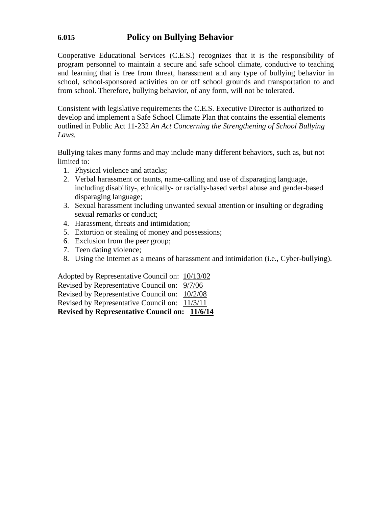## **6.015 Policy on Bullying Behavior**

Cooperative Educational Services (C.E.S.) recognizes that it is the responsibility of program personnel to maintain a secure and safe school climate, conducive to teaching and learning that is free from threat, harassment and any type of bullying behavior in school, school-sponsored activities on or off school grounds and transportation to and from school. Therefore, bullying behavior, of any form, will not be tolerated.

Consistent with legislative requirements the C.E.S. Executive Director is authorized to develop and implement a Safe School Climate Plan that contains the essential elements outlined in Public Act 11-232 *An Act Concerning the Strengthening of School Bullying Laws.*

Bullying takes many forms and may include many different behaviors, such as, but not limited to:

- 1. Physical violence and attacks;
- 2. Verbal harassment or taunts, name-calling and use of disparaging language, including disability-, ethnically- or racially-based verbal abuse and gender-based disparaging language;
- 3. Sexual harassment including unwanted sexual attention or insulting or degrading sexual remarks or conduct;
- 4. Harassment, threats and intimidation;
- 5. Extortion or stealing of money and possessions;
- 6. Exclusion from the peer group;
- 7. Teen dating violence;
- 8. Using the Internet as a means of harassment and intimidation (i.e., Cyber-bullying).

Adopted by Representative Council on: 10/13/02 Revised by Representative Council on: 9/7/06 Revised by Representative Council on: 10/2/08 Revised by Representative Council on: 11/3/11 **Revised by Representative Council on: 11/6/14**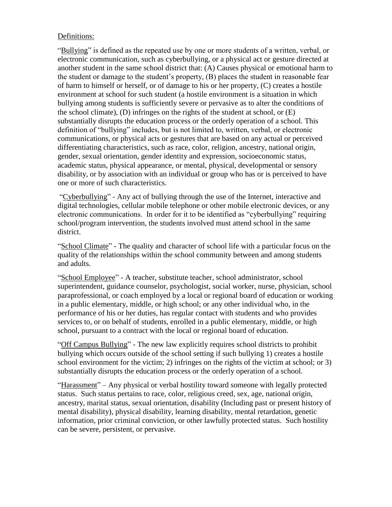#### Definitions:

"Bullying" is defined as the repeated use by one or more students of a written, verbal, or electronic communication, such as cyberbullying, or a physical act or gesture directed at another student in the same school district that: (A) Causes physical or emotional harm to the student or damage to the student's property, (B) places the student in reasonable fear of harm to himself or herself, or of damage to his or her property, (C) creates a hostile environment at school for such student (a hostile environment is a situation in which bullying among students is sufficiently severe or pervasive as to alter the conditions of the school climate), (D) infringes on the rights of the student at school, or (E) substantially disrupts the education process or the orderly operation of a school. This definition of "bullying" includes, but is not limited to, written, verbal, or electronic communications, or physical acts or gestures that are based on any actual or perceived differentiating characteristics, such as race, color, religion, ancestry, national origin, gender, sexual orientation, gender identity and expression, socioeconomic status, academic status, physical appearance, or mental, physical, developmental or sensory disability, or by association with an individual or group who has or is perceived to have one or more of such characteristics.

"Cyberbullying" - Any act of bullying through the use of the Internet, interactive and digital technologies, cellular mobile telephone or other mobile electronic devices, or any electronic communications. In order for it to be identified as "cyberbullying" requiring school/program intervention, the students involved must attend school in the same district.

"School Climate" - The quality and character of school life with a particular focus on the quality of the relationships within the school community between and among students and adults.

"School Employee" - A teacher, substitute teacher, school administrator, school superintendent, guidance counselor, psychologist, social worker, nurse, physician, school paraprofessional, or coach employed by a local or regional board of education or working in a public elementary, middle, or high school; or any other individual who, in the performance of his or her duties, has regular contact with students and who provides services to, or on behalf of students, enrolled in a public elementary, middle, or high school, pursuant to a contract with the local or regional board of education.

"Off Campus Bullying" - The new law explicitly requires school districts to prohibit bullying which occurs outside of the school setting if such bullying 1) creates a hostile school environment for the victim; 2) infringes on the rights of the victim at school; or 3) substantially disrupts the education process or the orderly operation of a school.

"Harassment" – Any physical or verbal hostility toward someone with legally protected status. Such status pertains to race, color, religious creed, sex, age, national origin, ancestry, marital status, sexual orientation, disability (Including past or present history of mental disability), physical disability, learning disability, mental retardation, genetic information, prior criminal conviction, or other lawfully protected status. Such hostility can be severe, persistent, or pervasive.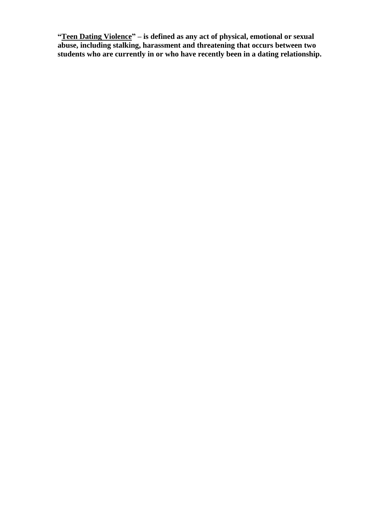**"Teen Dating Violence" – is defined as any act of physical, emotional or sexual abuse, including stalking, harassment and threatening that occurs between two students who are currently in or who have recently been in a dating relationship.**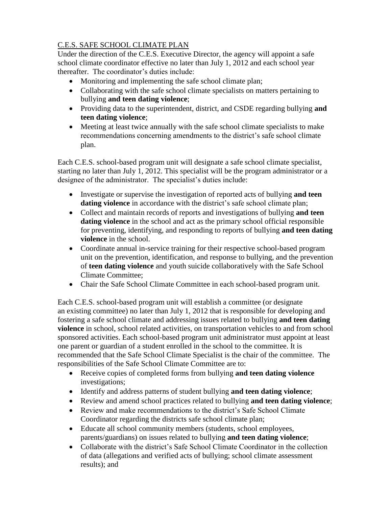## C.E.S. SAFE SCHOOL CLIMATE PLAN

Under the direction of the C.E.S. Executive Director, the agency will appoint a safe school climate coordinator effective no later than July 1, 2012 and each school year thereafter. The coordinator's duties include:

- Monitoring and implementing the safe school climate plan;
- Collaborating with the safe school climate specialists on matters pertaining to bullying **and teen dating violence**;
- Providing data to the superintendent, district, and CSDE regarding bullying **and teen dating violence**;
- Meeting at least twice annually with the safe school climate specialists to make recommendations concerning amendments to the district's safe school climate plan.

Each C.E.S. school-based program unit will designate a safe school climate specialist, starting no later than July 1, 2012. This specialist will be the program administrator or a designee of the administrator. The specialist's duties include:

- Investigate or supervise the investigation of reported acts of bullying **and teen**  dating violence in accordance with the district's safe school climate plan;
- Collect and maintain records of reports and investigations of bullying **and teen dating violence** in the school and act as the primary school official responsible for preventing, identifying, and responding to reports of bullying **and teen dating violence** in the school.
- Coordinate annual in-service training for their respective school-based program unit on the prevention, identification, and response to bullying, and the prevention of **teen dating violence** and youth suicide collaboratively with the Safe School Climate Committee;
- Chair the Safe School Climate Committee in each school-based program unit.

Each C.E.S. school-based program unit will establish a committee (or designate an existing committee) no later than July 1, 2012 that is responsible for developing and fostering a safe school climate and addressing issues related to bullying **and teen dating violence** in school, school related activities, on transportation vehicles to and from school sponsored activities. Each school-based program unit administrator must appoint at least one parent or guardian of a student enrolled in the school to the committee. It is recommended that the Safe School Climate Specialist is the chair of the committee. The responsibilities of the Safe School Climate Committee are to:

- Receive copies of completed forms from bullying **and teen dating violence** investigations;
- Identify and address patterns of student bullying **and teen dating violence**;
- Review and amend school practices related to bullying **and teen dating violence**;
- Review and make recommendations to the district's Safe School Climate Coordinator regarding the districts safe school climate plan;
- Educate all school community members (students, school employees, parents/guardians) on issues related to bullying **and teen dating violence**;
- Collaborate with the district's Safe School Climate Coordinator in the collection of data (allegations and verified acts of bullying; school climate assessment results); and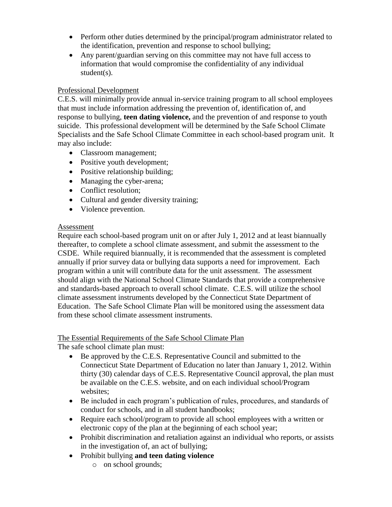- Perform other duties determined by the principal/program administrator related to the identification, prevention and response to school bullying;
- Any parent/guardian serving on this committee may not have full access to information that would compromise the confidentiality of any individual student(s).

### Professional Development

C.E.S. will minimally provide annual in-service training program to all school employees that must include information addressing the prevention of, identification of, and response to bullying, **teen dating violence,** and the prevention of and response to youth suicide. This professional development will be determined by the Safe School Climate Specialists and the Safe School Climate Committee in each school-based program unit. It may also include:

- Classroom management;
- Positive youth development;
- Positive relationship building;
- Managing the cyber-arena;
- Conflict resolution;
- Cultural and gender diversity training;
- Violence prevention.

#### Assessment

Require each school-based program unit on or after July 1, 2012 and at least biannually thereafter, to complete a school climate assessment, and submit the assessment to the CSDE. While required biannually, it is recommended that the assessment is completed annually if prior survey data or bullying data supports a need for improvement. Each program within a unit will contribute data for the unit assessment. The assessment should align with the National School Climate Standards that provide a comprehensive and standards-based approach to overall school climate. C.E.S. will utilize the school climate assessment instruments developed by the Connecticut State Department of Education. The Safe School Climate Plan will be monitored using the assessment data from these school climate assessment instruments.

#### The Essential Requirements of the Safe School Climate Plan

The safe school climate plan must:

- Be approved by the C.E.S. Representative Council and submitted to the Connecticut State Department of Education no later than January 1, 2012. Within thirty (30) calendar days of C.E.S. Representative Council approval, the plan must be available on the C.E.S. website, and on each individual school/Program websites;
- Be included in each program's publication of rules, procedures, and standards of conduct for schools, and in all student handbooks;
- Require each school/program to provide all school employees with a written or electronic copy of the plan at the beginning of each school year;
- Prohibit discrimination and retaliation against an individual who reports, or assists in the investigation of, an act of bullying;
- Prohibit bullying **and teen dating violence**
	- o on school grounds;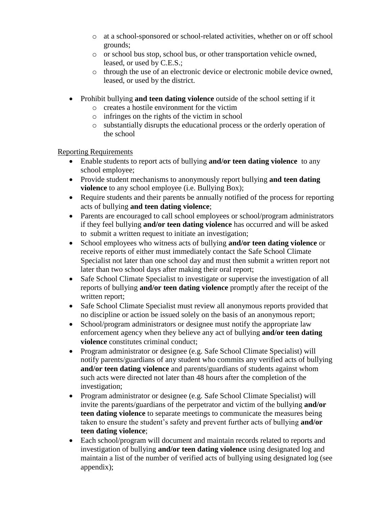- o at a school-sponsored or school-related activities, whether on or off school grounds;
- o or school bus stop, school bus, or other transportation vehicle owned, leased, or used by C.E.S.;
- o through the use of an electronic device or electronic mobile device owned, leased, or used by the district.
- Prohibit bullying **and teen dating violence** outside of the school setting if it
	- o creates a hostile environment for the victim
	- o infringes on the rights of the victim in school
	- o substantially disrupts the educational process or the orderly operation of the school

Reporting Requirements

- Enable students to report acts of bullying **and/or teen dating violence** to any school employee;
- Provide student mechanisms to anonymously report bullying **and teen dating violence** to any school employee (i.e. Bullying Box);
- Require students and their parents be annually notified of the process for reporting acts of bullying **and teen dating violence**;
- Parents are encouraged to call school employees or school/program administrators if they feel bullying **and/or teen dating violence** has occurred and will be asked to submit a written request to initiate an investigation;
- School employees who witness acts of bullying **and/or teen dating violence** or receive reports of either must immediately contact the Safe School Climate Specialist not later than one school day and must then submit a written report not later than two school days after making their oral report;
- Safe School Climate Specialist to investigate or supervise the investigation of all reports of bullying **and/or teen dating violence** promptly after the receipt of the written report;
- Safe School Climate Specialist must review all anonymous reports provided that no discipline or action be issued solely on the basis of an anonymous report;
- School/program administrators or designee must notify the appropriate law enforcement agency when they believe any act of bullying **and/or teen dating violence** constitutes criminal conduct;
- Program administrator or designee (e.g. Safe School Climate Specialist) will notify parents/guardians of any student who commits any verified acts of bullying **and/or teen dating violence** and parents/guardians of students against whom such acts were directed not later than 48 hours after the completion of the investigation;
- Program administrator or designee (e.g. Safe School Climate Specialist) will invite the parents/guardians of the perpetrator and victim of the bullying **and/or teen dating violence** to separate meetings to communicate the measures being taken to ensure the student's safety and prevent further acts of bullying **and/or teen dating violence**;
- Each school/program will document and maintain records related to reports and investigation of bullying **and/or teen dating violence** using designated log and maintain a list of the number of verified acts of bullying using designated log (see appendix);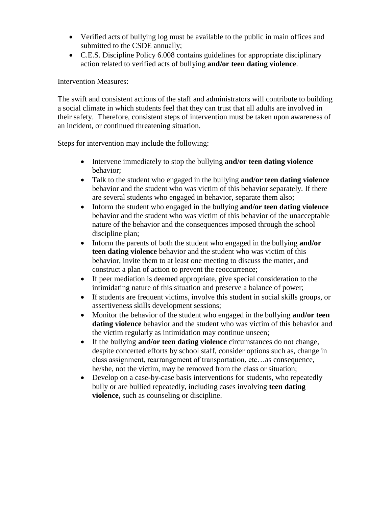- Verified acts of bullying log must be available to the public in main offices and submitted to the CSDE annually;
- C.E.S. Discipline Policy 6.008 contains guidelines for appropriate disciplinary action related to verified acts of bullying **and/or teen dating violence**.

#### Intervention Measures:

The swift and consistent actions of the staff and administrators will contribute to building a social climate in which students feel that they can trust that all adults are involved in their safety. Therefore, consistent steps of intervention must be taken upon awareness of an incident, or continued threatening situation.

Steps for intervention may include the following:

- Intervene immediately to stop the bullying **and/or teen dating violence** behavior;
- Talk to the student who engaged in the bullying **and/or teen dating violence** behavior and the student who was victim of this behavior separately. If there are several students who engaged in behavior, separate them also;
- Inform the student who engaged in the bullying **and/or teen dating violence** behavior and the student who was victim of this behavior of the unacceptable nature of the behavior and the consequences imposed through the school discipline plan;
- Inform the parents of both the student who engaged in the bullying **and/or teen dating violence** behavior and the student who was victim of this behavior, invite them to at least one meeting to discuss the matter, and construct a plan of action to prevent the reoccurrence;
- If peer mediation is deemed appropriate, give special consideration to the intimidating nature of this situation and preserve a balance of power;
- If students are frequent victims, involve this student in social skills groups, or assertiveness skills development sessions;
- Monitor the behavior of the student who engaged in the bullying **and/or teen dating violence** behavior and the student who was victim of this behavior and the victim regularly as intimidation may continue unseen;
- If the bullying **and/or teen dating violence** circumstances do not change, despite concerted efforts by school staff, consider options such as, change in class assignment, rearrangement of transportation, etc…as consequence, he/she, not the victim, may be removed from the class or situation;
- Develop on a case-by-case basis interventions for students, who repeatedly bully or are bullied repeatedly, including cases involving **teen dating violence,** such as counseling or discipline.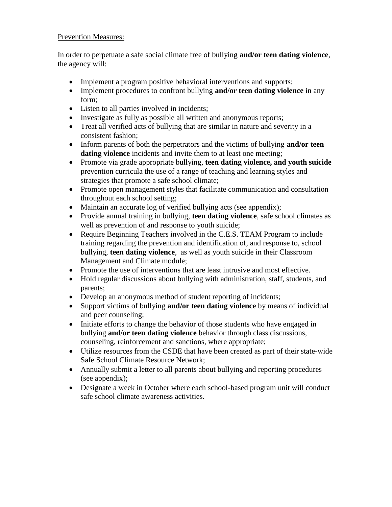#### Prevention Measures:

In order to perpetuate a safe social climate free of bullying **and/or teen dating violence**, the agency will:

- Implement a program positive behavioral interventions and supports;
- Implement procedures to confront bullying **and/or teen dating violence** in any form;
- Listen to all parties involved in incidents;
- Investigate as fully as possible all written and anonymous reports;
- Treat all verified acts of bullying that are similar in nature and severity in a consistent fashion;
- Inform parents of both the perpetrators and the victims of bullying **and/or teen dating violence** incidents and invite them to at least one meeting:
- Promote via grade appropriate bullying, **teen dating violence, and youth suicide**  prevention curricula the use of a range of teaching and learning styles and strategies that promote a safe school climate;
- Promote open management styles that facilitate communication and consultation throughout each school setting;
- Maintain an accurate log of verified bullying acts (see appendix);
- Provide annual training in bullying, **teen dating violence**, safe school climates as well as prevention of and response to youth suicide;
- Require Beginning Teachers involved in the C.E.S. TEAM Program to include training regarding the prevention and identification of, and response to, school bullying, **teen dating violence**, as well as youth suicide in their Classroom Management and Climate module;
- Promote the use of interventions that are least intrusive and most effective.
- Hold regular discussions about bullying with administration, staff, students, and parents;
- Develop an anonymous method of student reporting of incidents;
- Support victims of bullying **and/or teen dating violence** by means of individual and peer counseling;
- Initiate efforts to change the behavior of those students who have engaged in bullying **and/or teen dating violence** behavior through class discussions, counseling, reinforcement and sanctions, where appropriate;
- Utilize resources from the CSDE that have been created as part of their state-wide Safe School Climate Resource Network;
- Annually submit a letter to all parents about bullying and reporting procedures (see appendix);
- Designate a week in October where each school-based program unit will conduct safe school climate awareness activities.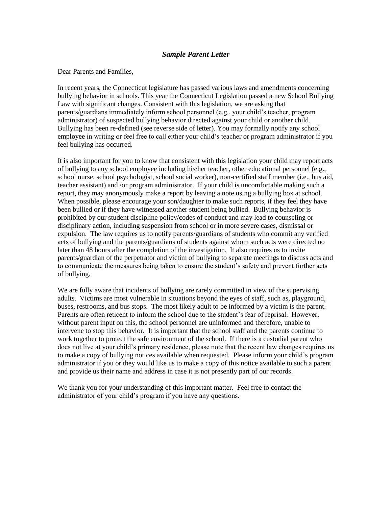#### *Sample Parent Letter*

Dear Parents and Families,

In recent years, the Connecticut legislature has passed various laws and amendments concerning bullying behavior in schools. This year the Connecticut Legislation passed a new School Bullying Law with significant changes. Consistent with this legislation, we are asking that parents/guardians immediately inform school personnel (e.g., your child's teacher, program administrator) of suspected bullying behavior directed against your child or another child. Bullying has been re-defined (see reverse side of letter). You may formally notify any school employee in writing or feel free to call either your child's teacher or program administrator if you feel bullying has occurred.

It is also important for you to know that consistent with this legislation your child may report acts of bullying to any school employee including his/her teacher, other educational personnel (e.g., school nurse, school psychologist, school social worker), non-certified staff member (i.e., bus aid, teacher assistant) and /or program administrator. If your child is uncomfortable making such a report, they may anonymously make a report by leaving a note using a bullying box at school. When possible, please encourage your son/daughter to make such reports, if they feel they have been bullied or if they have witnessed another student being bullied. Bullying behavior is prohibited by our student discipline policy/codes of conduct and may lead to counseling or disciplinary action, including suspension from school or in more severe cases, dismissal or expulsion. The law requires us to notify parents/guardians of students who commit any verified acts of bullying and the parents/guardians of students against whom such acts were directed no later than 48 hours after the completion of the investigation. It also requires us to invite parents/guardian of the perpetrator and victim of bullying to separate meetings to discuss acts and to communicate the measures being taken to ensure the student's safety and prevent further acts of bullying.

We are fully aware that incidents of bullying are rarely committed in view of the supervising adults. Victims are most vulnerable in situations beyond the eyes of staff, such as, playground, buses, restrooms, and bus stops. The most likely adult to be informed by a victim is the parent. Parents are often reticent to inform the school due to the student's fear of reprisal. However, without parent input on this, the school personnel are uninformed and therefore, unable to intervene to stop this behavior. It is important that the school staff and the parents continue to work together to protect the safe environment of the school. If there is a custodial parent who does not live at your child's primary residence, please note that the recent law changes requires us to make a copy of bullying notices available when requested. Please inform your child's program administrator if you or they would like us to make a copy of this notice available to such a parent and provide us their name and address in case it is not presently part of our records.

We thank you for your understanding of this important matter. Feel free to contact the administrator of your child's program if you have any questions.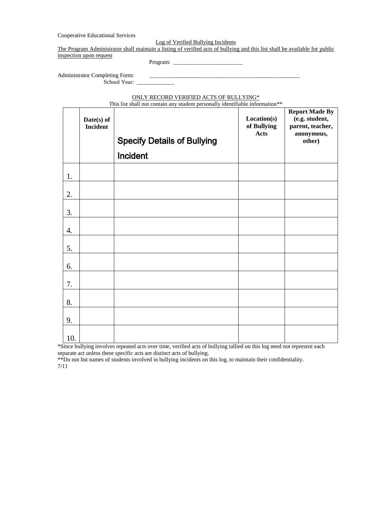Cooperative Educational Services

Log of Verified Bullying Incidents

The Program Administrator shall maintain a listing of verified acts of bullying and this list shall be available for public

inspection upon request

Program: \_\_\_\_\_\_\_\_\_\_\_\_\_\_\_\_\_\_\_\_\_\_\_\_

Administrator Completing Form: School Year: \_

ONLY RECORD VERIFIED ACTS OF BULLYING\*

| <u>ONET RECORD VERIFIED ACTS OF BUELTING</u><br>This list shall not contain any student personally identifiable information** |                        |                                    |                                    |                                                                                     |  |  |
|-------------------------------------------------------------------------------------------------------------------------------|------------------------|------------------------------------|------------------------------------|-------------------------------------------------------------------------------------|--|--|
|                                                                                                                               | Date(s) of<br>Incident | <b>Specify Details of Bullying</b> | Location(s)<br>of Bullying<br>Acts | <b>Report Made By</b><br>(e.g. student,<br>parent, teacher,<br>anonymous,<br>other) |  |  |
|                                                                                                                               |                        | Incident                           |                                    |                                                                                     |  |  |
| 1.                                                                                                                            |                        |                                    |                                    |                                                                                     |  |  |
| 2.                                                                                                                            |                        |                                    |                                    |                                                                                     |  |  |
| 3.                                                                                                                            |                        |                                    |                                    |                                                                                     |  |  |
| 4.                                                                                                                            |                        |                                    |                                    |                                                                                     |  |  |
| 5.                                                                                                                            |                        |                                    |                                    |                                                                                     |  |  |
| 6.                                                                                                                            |                        |                                    |                                    |                                                                                     |  |  |
| 7.                                                                                                                            |                        |                                    |                                    |                                                                                     |  |  |
| 8.                                                                                                                            |                        |                                    |                                    |                                                                                     |  |  |
| 9.                                                                                                                            |                        |                                    |                                    |                                                                                     |  |  |
| 10.                                                                                                                           |                        |                                    |                                    |                                                                                     |  |  |

\*Since bullying involves repeated acts over time, verified acts of bullying tallied on this log need not represent each separate act unless these specific acts are distinct acts of bullying.

\*\*Do not list names of students involved in bullying incidents on this log, to maintain their confidentiality. 7/11